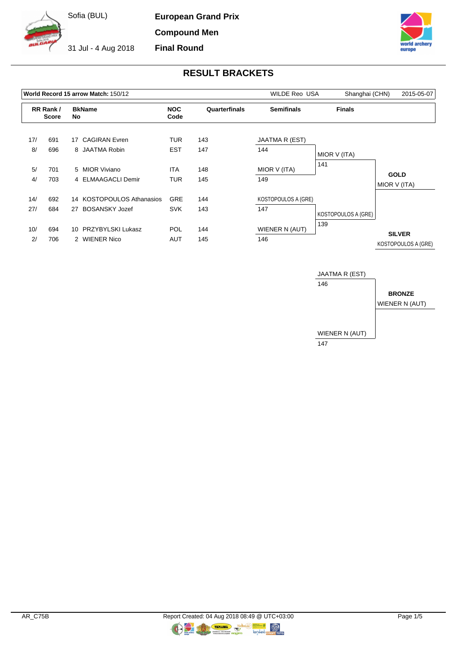

**European Grand Prix Compound Men**

**Final Round**

31 Jul - 4 Aug 2018



# **RESULT BRACKETS**

|           |                          |         | World Record 15 arrow Match: 150/12    | <b>WILDE Reo USA</b>     | Shanghai (CHN) | 2015-05-07            |                     |                     |
|-----------|--------------------------|---------|----------------------------------------|--------------------------|----------------|-----------------------|---------------------|---------------------|
|           | RR Rank/<br><b>Score</b> |         | <b>BkName</b><br>No                    |                          | Quarterfinals  | <b>Semifinals</b>     | <b>Finals</b>       |                     |
| 17/<br>8/ | 691<br>696               | 17      | <b>CAGIRAN Evren</b><br>8 JAATMA Robin | <b>TUR</b><br><b>EST</b> | 143<br>147     | JAATMA R (EST)<br>144 |                     |                     |
|           |                          |         |                                        |                          |                |                       | MIOR V (ITA)        |                     |
| 5/        | 701                      |         | 5 MIOR Viviano                         | <b>ITA</b>               | 148            | MIOR V (ITA)          | 141                 | <b>GOLD</b>         |
| 4/        | 703                      |         | 4 ELMAAGACLI Demir                     | <b>TUR</b>               | 145            | 149                   |                     | MIOR V (ITA)        |
| 14/       | 692                      |         | 14 KOSTOPOULOS Athanasios              | <b>GRE</b>               | 144            | KOSTOPOULOS A (GRE)   |                     |                     |
| 27/       | 684                      |         | 27 BOSANSKY Jozef                      | <b>SVK</b>               | 143            | 147                   | KOSTOPOULOS A (GRE) |                     |
| 10/       | 694                      | $10-10$ | PRZYBYLSKI Lukasz                      | <b>POL</b>               | 144            | WIENER N (AUT)        | 139                 | <b>SILVER</b>       |
| 2/        | 706                      |         | 2 WIENER Nico                          | <b>AUT</b>               | 145            | 146                   |                     | KOSTOPOULOS A (GRE) |

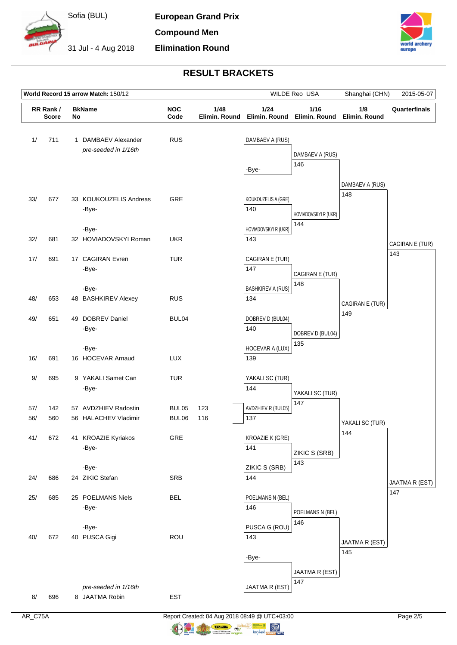

**European Grand Prix Compound Men Elimination Round**

31 Jul - 4 Aug 2018



## **RESULT BRACKETS**

| World Record 15 arrow Match: 150/12 |                                                 |  |                                             |                    |                       |                                 | WILDE Reo USA                       | Shanghai (CHN)         | 2015-05-07            |
|-------------------------------------|-------------------------------------------------|--|---------------------------------------------|--------------------|-----------------------|---------------------------------|-------------------------------------|------------------------|-----------------------|
|                                     | <b>BkName</b><br>RR Rank/<br><b>Score</b><br>No |  |                                             | <b>NOC</b><br>Code | 1/48<br>Elimin. Round | 1/24                            | 1/16<br>Elimin. Round Elimin. Round | 1/8<br>Elimin. Round   | Quarterfinals         |
| 1/                                  | 711                                             |  | 1 DAMBAEV Alexander<br>pre-seeded in 1/16th | <b>RUS</b>         |                       | DAMBAEV A (RUS)<br>-Bye-        | DAMBAEV A (RUS)<br>146              |                        |                       |
| 33/                                 | 677                                             |  | 33 KOUKOUZELIS Andreas<br>-Bye-             | GRE                |                       | KOUKOUZELIS A (GRE)<br>140      | HOVIADOVSKYI R (UKR)<br>144         | DAMBAEV A (RUS)<br>148 |                       |
| 32/                                 | 681                                             |  | -Bye-<br>32 HOVIADOVSKYI Roman              | <b>UKR</b>         |                       | HOVIADOVSKYI R (UKR)<br>143     |                                     |                        | CAGIRAN E (TUR)       |
| 17/                                 | 691                                             |  | 17 CAGIRAN Evren<br>-Bye-                   | <b>TUR</b>         |                       | CAGIRAN E (TUR)<br>147          | CAGIRAN E (TUR)                     |                        | 143                   |
| 48/                                 | 653                                             |  | -Bye-<br>48 BASHKIREV Alexey                | <b>RUS</b>         |                       | <b>BASHKIREV A (RUS)</b><br>134 | 148                                 | CAGIRAN E (TUR)        |                       |
| 49/                                 | 651                                             |  | 49 DOBREV Daniel<br>-Bye-                   | BUL04              |                       | DOBREV D (BUL04)<br>140         | DOBREV D (BUL04)<br>135             | 149                    |                       |
| 16/                                 | 691                                             |  | -Bye-<br>16 HOCEVAR Arnaud                  | LUX                |                       | HOCEVAR A (LUX)<br>139          |                                     |                        |                       |
| 9/                                  | 695                                             |  | 9 YAKALI Samet Can<br>-Bye-                 | <b>TUR</b>         |                       | YAKALI SC (TUR)<br>144          | YAKALI SC (TUR)                     |                        |                       |
| 57/                                 | 142                                             |  | 57 AVDZHIEV Radostin                        | BUL05              | 123                   | AVDZHIEV R (BUL05)              | 147                                 |                        |                       |
| 56/                                 | 560                                             |  | 56 HALACHEV Vladimir                        | BUL06              | 116                   | 137                             |                                     | YAKALI SC (TUR)        |                       |
| 41/                                 | 672                                             |  | 41 KROAZIE Kyriakos<br>-Bye-                | GRE                |                       | KROAZIE K (GRE)<br>141          | ZIKIC S (SRB)<br>143                | 144                    |                       |
|                                     |                                                 |  | -Bye-                                       |                    |                       | ZIKIC S (SRB)                   |                                     |                        |                       |
| 24/                                 | 686                                             |  | 24 ZIKIC Stefan                             | SRB                |                       | 144                             |                                     |                        | JAATMA R (EST)<br>147 |
| 25/                                 | 685                                             |  | 25 POELMANS Niels<br>-Bye-                  | <b>BEL</b>         |                       | POELMANS N (BEL)<br>146         | POELMANS N (BEL)                    |                        |                       |
| 40/                                 | 672                                             |  | -Bye-<br>40 PUSCA Gigi                      | ROU                |                       | PUSCA G (ROU)<br>143<br>-Bye-   | 146                                 | JAATMA R (EST)<br>145  |                       |
| 8/                                  | 696                                             |  | pre-seeded in 1/16th<br>8 JAATMA Robin      | <b>EST</b>         |                       | JAATMA R (EST)                  | JAATMA R (EST)<br>147               |                        |                       |

AR\_C75A Report Created: 04 Aug 2018 08:49 @ UTC+03:00 Page 2/5

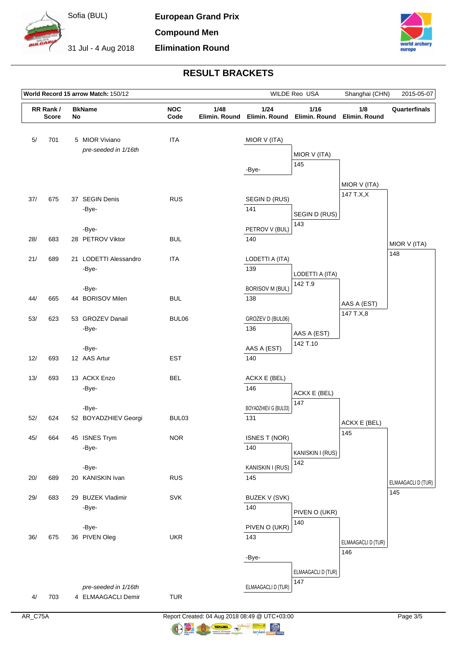

**European Grand Prix Compound Men**

**Elimination Round**



## **RESULT BRACKETS**

| World Record 15 arrow Match: 150/12 |                          |  |                                        |                    | WILDE Reo USA<br>Shanghai (CHN) |                                        |                                        | 2015-05-07                |                    |
|-------------------------------------|--------------------------|--|----------------------------------------|--------------------|---------------------------------|----------------------------------------|----------------------------------------|---------------------------|--------------------|
|                                     | RR Rank/<br><b>Score</b> |  | <b>BkName</b><br>No                    | <b>NOC</b><br>Code | 1/48<br>Elimin. Round           |                                        | 1/16<br>Elimin. Round<br>Elimin. Round | 1/8<br>Elimin. Round      | Quarterfinals      |
| 5/                                  | 701                      |  | 5 MIOR Viviano<br>pre-seeded in 1/16th | <b>ITA</b>         |                                 | MIOR V (ITA)<br>-Bye-                  | MIOR V (ITA)<br>145                    |                           |                    |
| 37/                                 | 675                      |  | 37 SEGIN Denis<br>-Bye-                | <b>RUS</b>         |                                 | SEGIN D (RUS)<br>141                   | SEGIN D (RUS)                          | MIOR V (ITA)<br>147 T.X,X |                    |
| 28/                                 | 683                      |  | -Bye-<br>28 PETROV Viktor              | <b>BUL</b>         |                                 | PETROV V (BUL)<br>140                  | 143                                    |                           | MIOR V (ITA)       |
| 21/                                 | 689                      |  | 21 LODETTI Alessandro<br>-Bye-         | <b>ITA</b>         |                                 | LODETTI A (ITA)<br>139                 | LODETTI A (ITA)<br>142 T.9             |                           | 148                |
| 44/                                 | 665                      |  | -Bye-<br>44 BORISOV Milen              | <b>BUL</b>         |                                 | <b>BORISOV M (BUL)</b><br>138          |                                        | AAS A (EST)<br>147 T.X,8  |                    |
| 53/                                 | 623                      |  | 53 GROZEV Danail<br>-Bye-<br>-Bye-     | BUL06              |                                 | GROZEV D (BUL06)<br>136<br>AAS A (EST) | AAS A (EST)<br>142 T.10                |                           |                    |
| 12/                                 | 693                      |  | 12 AAS Artur                           | <b>EST</b>         |                                 | 140                                    |                                        |                           |                    |
| 13/                                 | 693                      |  | 13 ACKX Enzo<br>-Bye-                  | <b>BEL</b>         |                                 | ACKX E (BEL)<br>146                    | ACKX E (BEL)<br>147                    |                           |                    |
| 52/                                 | 624                      |  | -Bye-<br>52 BOYADZHIEV Georgi          | BUL03              |                                 | BOYADZHIEV G (BUL03)<br>131            |                                        | ACKX E (BEL)              |                    |
| 45/                                 | 664                      |  | 45 ISNES Trym<br>-Bye-                 | <b>NOR</b>         |                                 | <b>ISNES T (NOR)</b><br>140            | KANISKIN I (RUS)                       | 145                       |                    |
| 20/                                 | 689                      |  | -Bye-<br>20 KANISKIN Ivan              | <b>RUS</b>         |                                 | KANISKIN I (RUS)<br>145                | 142                                    |                           | ELMAAGACLI D (TUR) |
| 29/                                 | 683                      |  | 29 BUZEK Vladimir<br>-Bye-             | <b>SVK</b>         |                                 | BUZEK V (SVK)<br>140                   | PIVEN O (UKR)                          |                           | 145                |
| 36/                                 | 675                      |  | -Bye-<br>36 PIVEN Oleg                 | <b>UKR</b>         |                                 | PIVEN O (UKR)<br>143                   | 140                                    | ELMAAGACLI D (TUR)<br>146 |                    |
|                                     |                          |  | pre-seeded in 1/16th                   |                    |                                 | -Bye-<br>ELMAAGACLI D (TUR)            | ELMAAGACLI D (TUR)<br>147              |                           |                    |
| 4/                                  | 703                      |  | 4 ELMAAGACLI Demir                     | <b>TUR</b>         |                                 |                                        |                                        |                           |                    |

AR\_C75A Report Created: 04 Aug 2018 08:49 @ UTC+03:00 Page 3/5

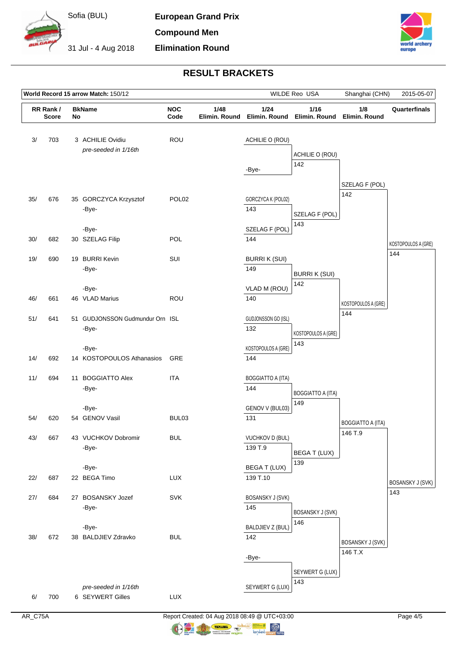

**European Grand Prix Compound Men Elimination Round**

31 Jul - 4 Aug 2018



## **RESULT BRACKETS**

|     | World Record 15 arrow Match: 150/12 |  |                                          |                   | WILDE Reo USA                               |                                         | Shanghai (CHN)                      | 2015-05-07                         |                         |
|-----|-------------------------------------|--|------------------------------------------|-------------------|---------------------------------------------|-----------------------------------------|-------------------------------------|------------------------------------|-------------------------|
|     | RR Rank /<br><b>Score</b>           |  | <b>BkName</b><br>No                      |                   | <b>NOC</b><br>1/48<br>Code<br>Elimin. Round |                                         | 1/16<br>Elimin. Round Elimin. Round | 1/8<br>Elimin, Round               | Quarterfinals           |
| 3/  | 703                                 |  | 3 ACHILIE Ovidiu<br>pre-seeded in 1/16th | ROU               |                                             | ACHILIE O (ROU)<br>-Bye-                | ACHILIE O (ROU)<br>142              |                                    |                         |
| 35/ | 676                                 |  | 35 GORCZYCA Krzysztof<br>-Bye-           | POL <sub>02</sub> |                                             | GORCZYCA K (POL02)<br>143               | SZELAG F (POL)<br>143               | SZELAG F (POL)<br>142              |                         |
| 30/ | 682                                 |  | -Bye-<br>30 SZELAG Filip                 | POL               |                                             | SZELAG F (POL)<br>144                   |                                     |                                    | KOSTOPOULOS A (GRE)     |
| 19/ | 690                                 |  | 19 BURRI Kevin<br>-Bye-                  | SUI               |                                             | <b>BURRIK (SUI)</b><br>149              | <b>BURRI K (SUI)</b>                |                                    | 144                     |
| 46/ | 661                                 |  | -Bye-<br>46 VLAD Marius                  | ROU               |                                             | VLAD M (ROU)<br>140                     | 142                                 | KOSTOPOULOS A (GRE)                |                         |
| 51/ | 641                                 |  | 51 GUDJONSSON Gudmundur Orn ISL<br>-Bye- |                   |                                             | GUDJONSSON GO (ISL)<br>132              | KOSTOPOULOS A (GRE)<br>143          | 144                                |                         |
| 14/ | 692                                 |  | -Bye-<br>14 KOSTOPOULOS Athanasios       | GRE               |                                             | KOSTOPOULOS A (GRE)<br>144              |                                     |                                    |                         |
| 11/ | 694                                 |  | 11 BOGGIATTO Alex<br>-Bye-               | <b>ITA</b>        |                                             | <b>BOGGIATTO A (ITA)</b><br>144         | <b>BOGGIATTO A (ITA)</b>            |                                    |                         |
| 54/ | 620                                 |  | -Bye-<br>54 GENOV Vasil                  | BUL <sub>03</sub> |                                             | GENOV V (BUL03)<br>131                  | 149                                 | <b>BOGGIATTO A (ITA)</b>           |                         |
| 43/ | 667                                 |  | 43 VUCHKOV Dobromir<br>-Bye-             | <b>BUL</b>        |                                             | VUCHKOV D (BUL)<br>139 T.9              | BEGA T (LUX)                        | 146 T.9                            |                         |
| 22/ | 687                                 |  | -Bye-<br>22 BEGA Timo                    | LUX               |                                             | <b>BEGAT (LUX)</b><br>139 T.10          | 139                                 |                                    | <b>BOSANSKY J (SVK)</b> |
| 27/ | 684                                 |  | 27 BOSANSKY Jozef<br>-Bye-               | SVK               |                                             | <b>BOSANSKY J (SVK)</b><br>145          | <b>BOSANSKY J (SVK)</b>             |                                    | 143                     |
| 38/ | 672                                 |  | -Bye-<br>38 BALDJIEV Zdravko             | <b>BUL</b>        |                                             | <b>BALDJIEV Z (BUL)</b><br>142<br>-Bye- | 146                                 | <b>BOSANSKY J (SVK)</b><br>146 T.X |                         |
|     |                                     |  | pre-seeded in 1/16th                     |                   |                                             | SEYWERT G (LUX)                         | SEYWERT G (LUX)<br>143              |                                    |                         |
| 6/  | 700                                 |  | 6 SEYWERT Gilles                         | LUX               |                                             |                                         |                                     |                                    |                         |

AR\_C75A Report Created: 04 Aug 2018 08:49 @ UTC+03:00 Page 4/5